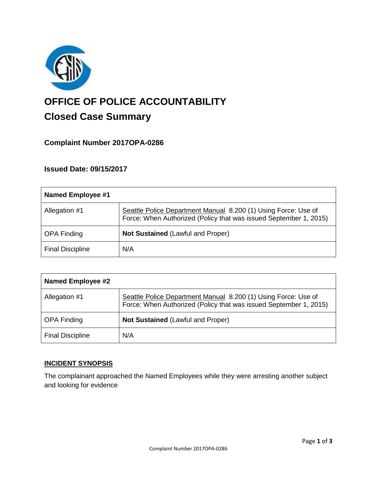

# **OFFICE OF POLICE ACCOUNTABILITY**

# **Closed Case Summary**

# **Complaint Number 2017OPA-0286**

## **Issued Date: 09/15/2017**

| <b>Named Employee #1</b> |                                                                                                                                     |
|--------------------------|-------------------------------------------------------------------------------------------------------------------------------------|
| Allegation #1            | Seattle Police Department Manual 8.200 (1) Using Force: Use of<br>Force: When Authorized (Policy that was issued September 1, 2015) |
| <b>OPA Finding</b>       | <b>Not Sustained (Lawful and Proper)</b>                                                                                            |
| <b>Final Discipline</b>  | N/A                                                                                                                                 |

| <b>Named Employee #2</b> |                                                                                                                                     |
|--------------------------|-------------------------------------------------------------------------------------------------------------------------------------|
| Allegation #1            | Seattle Police Department Manual 8.200 (1) Using Force: Use of<br>Force: When Authorized (Policy that was issued September 1, 2015) |
| <b>OPA Finding</b>       | <b>Not Sustained (Lawful and Proper)</b>                                                                                            |
| <b>Final Discipline</b>  | N/A                                                                                                                                 |

### **INCIDENT SYNOPSIS**

The complainant approached the Named Employees while they were arresting another subject and looking for evidence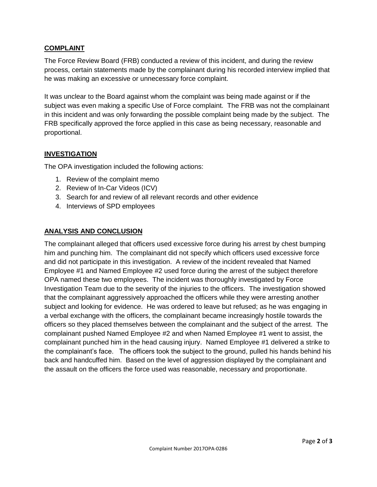#### **COMPLAINT**

The Force Review Board (FRB) conducted a review of this incident, and during the review process, certain statements made by the complainant during his recorded interview implied that he was making an excessive or unnecessary force complaint.

It was unclear to the Board against whom the complaint was being made against or if the subject was even making a specific Use of Force complaint. The FRB was not the complainant in this incident and was only forwarding the possible complaint being made by the subject. The FRB specifically approved the force applied in this case as being necessary, reasonable and proportional.

#### **INVESTIGATION**

The OPA investigation included the following actions:

- 1. Review of the complaint memo
- 2. Review of In-Car Videos (ICV)
- 3. Search for and review of all relevant records and other evidence
- 4. Interviews of SPD employees

#### **ANALYSIS AND CONCLUSION**

The complainant alleged that officers used excessive force during his arrest by chest bumping him and punching him. The complainant did not specify which officers used excessive force and did not participate in this investigation. A review of the incident revealed that Named Employee #1 and Named Employee #2 used force during the arrest of the subject therefore OPA named these two employees. The incident was thoroughly investigated by Force Investigation Team due to the severity of the injuries to the officers. The investigation showed that the complainant aggressively approached the officers while they were arresting another subject and looking for evidence. He was ordered to leave but refused; as he was engaging in a verbal exchange with the officers, the complainant became increasingly hostile towards the officers so they placed themselves between the complainant and the subject of the arrest. The complainant pushed Named Employee #2 and when Named Employee #1 went to assist, the complainant punched him in the head causing injury. Named Employee #1 delivered a strike to the complainant's face. The officers took the subject to the ground, pulled his hands behind his back and handcuffed him. Based on the level of aggression displayed by the complainant and the assault on the officers the force used was reasonable, necessary and proportionate.